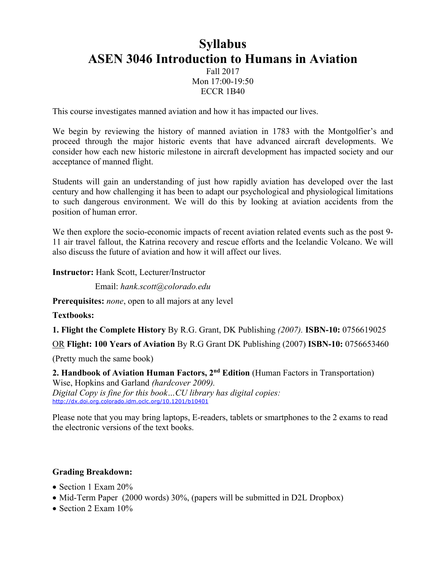# **Syllabus ASEN 3046 Introduction to Humans in Aviation** Fall 2017 Mon 17:00-19:50

ECCR 1B40

This course investigates manned aviation and how it has impacted our lives.

We begin by reviewing the history of manned aviation in 1783 with the Montgolfier's and proceed through the major historic events that have advanced aircraft developments. We consider how each new historic milestone in aircraft development has impacted society and our acceptance of manned flight.

Students will gain an understanding of just how rapidly aviation has developed over the last century and how challenging it has been to adapt our psychological and physiological limitations to such dangerous environment. We will do this by looking at aviation accidents from the position of human error.

We then explore the socio-economic impacts of recent aviation related events such as the post 9- 11 air travel fallout, the Katrina recovery and rescue efforts and the Icelandic Volcano. We will also discuss the future of aviation and how it will affect our lives.

**Instructor:** Hank Scott, Lecturer/Instructor

Email: *hank.scott@colorado.edu*

**Prerequisites:** *none*, open to all majors at any level

**Textbooks:**

**1. Flight the Complete History** By R.G. Grant, DK Publishing *(2007).* **ISBN-10:** 0756619025

OR **Flight: 100 Years of Aviation** By R.G Grant DK Publishing (2007) **ISBN-10:** 0756653460

(Pretty much the same book)

**2. Handbook of Aviation Human Factors, 2nd Edition** (Human Factors in Transportation) Wise, Hopkins and Garland *(hardcover 2009). Digital Copy is fine for this book…CU library has digital copies:* http://dx.doi.org.colorado.idm.oclc.org/10.1201/b10401

Please note that you may bring laptops, E-readers, tablets or smartphones to the 2 exams to read the electronic versions of the text books.

#### **Grading Breakdown:**

- Section 1 Exam 20%
- Mid-Term Paper (2000 words) 30%, (papers will be submitted in D2L Dropbox)
- Section 2 Exam  $10\%$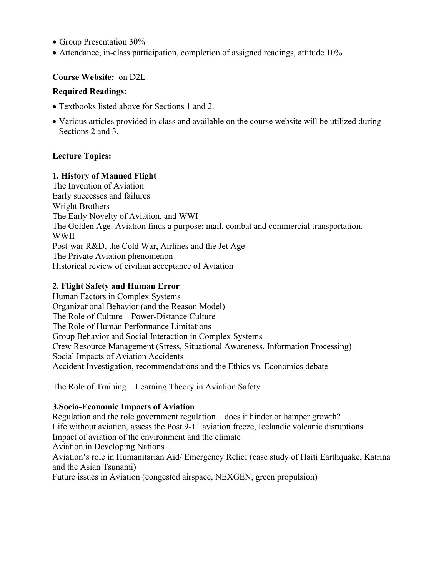- Group Presentation 30%
- Attendance, in-class participation, completion of assigned readings, attitude 10%

# **Course Website:** on D2L

#### **Required Readings:**

- Textbooks listed above for Sections 1 and 2.
- Various articles provided in class and available on the course website will be utilized during Sections 2 and 3.

# **Lecture Topics:**

#### **1. History of Manned Flight**

The Invention of Aviation Early successes and failures Wright Brothers The Early Novelty of Aviation, and WWI The Golden Age: Aviation finds a purpose: mail, combat and commercial transportation. WWII Post-war R&D, the Cold War, Airlines and the Jet Age The Private Aviation phenomenon Historical review of civilian acceptance of Aviation

#### **2. Flight Safety and Human Error**

Human Factors in Complex Systems Organizational Behavior (and the Reason Model) The Role of Culture – Power-Distance Culture The Role of Human Performance Limitations Group Behavior and Social Interaction in Complex Systems Crew Resource Management (Stress, Situational Awareness, Information Processing) Social Impacts of Aviation Accidents Accident Investigation, recommendations and the Ethics vs. Economics debate

The Role of Training – Learning Theory in Aviation Safety

#### **3.Socio-Economic Impacts of Aviation**

Regulation and the role government regulation – does it hinder or hamper growth? Life without aviation, assess the Post 9-11 aviation freeze, Icelandic volcanic disruptions Impact of aviation of the environment and the climate Aviation in Developing Nations Aviation's role in Humanitarian Aid/ Emergency Relief (case study of Haiti Earthquake, Katrina and the Asian Tsunami) Future issues in Aviation (congested airspace, NEXGEN, green propulsion)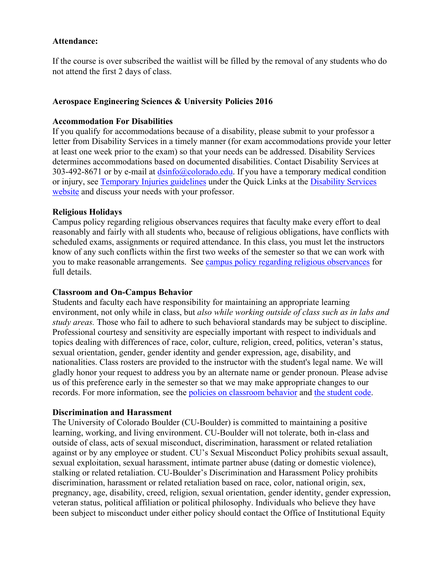#### **Attendance:**

If the course is over subscribed the waitlist will be filled by the removal of any students who do not attend the first 2 days of class.

# **Aerospace Engineering Sciences & University Policies 2016**

#### **Accommodation For Disabilities**

If you qualify for accommodations because of a disability, please submit to your professor a letter from Disability Services in a timely manner (for exam accommodations provide your letter at least one week prior to the exam) so that your needs can be addressed. Disability Services determines accommodations based on documented disabilities. Contact Disability Services at 303-492-8671 or by e-mail at  $\frac{dsinfo(\omega) \cdot \text{colorado.edu}}{dsinfo(\omega)}$ . If you have a temporary medical condition or injury, see Temporary Injuries guidelines under the Quick Links at the Disability Services website and discuss your needs with your professor.

#### **Religious Holidays**

Campus policy regarding religious observances requires that faculty make every effort to deal reasonably and fairly with all students who, because of religious obligations, have conflicts with scheduled exams, assignments or required attendance. In this class, you must let the instructors know of any such conflicts within the first two weeks of the semester so that we can work with you to make reasonable arrangements. See campus policy regarding religious observances for full details.

#### **Classroom and On-Campus Behavior**

Students and faculty each have responsibility for maintaining an appropriate learning environment, not only while in class, but *also while working outside of class such as in labs and study areas.* Those who fail to adhere to such behavioral standards may be subject to discipline. Professional courtesy and sensitivity are especially important with respect to individuals and topics dealing with differences of race, color, culture, religion, creed, politics, veteran's status, sexual orientation, gender, gender identity and gender expression, age, disability, and nationalities. Class rosters are provided to the instructor with the student's legal name. We will gladly honor your request to address you by an alternate name or gender pronoun. Please advise us of this preference early in the semester so that we may make appropriate changes to our records. For more information, see the policies on classroom behavior and the student code.

# **Discrimination and Harassment**

The University of Colorado Boulder (CU-Boulder) is committed to maintaining a positive learning, working, and living environment. CU-Boulder will not tolerate, both in-class and outside of class, acts of sexual misconduct, discrimination, harassment or related retaliation against or by any employee or student. CU's Sexual Misconduct Policy prohibits sexual assault, sexual exploitation, sexual harassment, intimate partner abuse (dating or domestic violence), stalking or related retaliation. CU-Boulder's Discrimination and Harassment Policy prohibits discrimination, harassment or related retaliation based on race, color, national origin, sex, pregnancy, age, disability, creed, religion, sexual orientation, gender identity, gender expression, veteran status, political affiliation or political philosophy. Individuals who believe they have been subject to misconduct under either policy should contact the Office of Institutional Equity